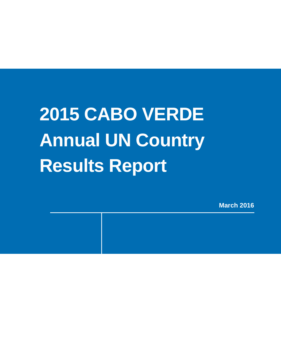# **2015 CABO VERDE Annual UN Country Results Report**

**March 2016**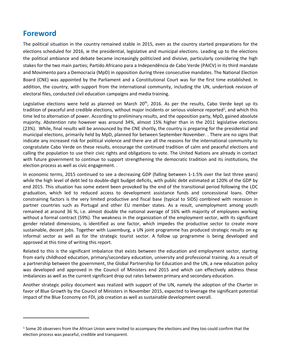## **Foreword**

 $\overline{a}$ 

The political situation in the country remained stable in 2015, even as the country started preparations for the elections scheduled for 2016, ie the presidential, legislative and municipal elections. Leading up to the elections the political ambiance and debate became increasingly politicized and divisive, particularly considering the high stakes for the two main parties; Partido Africano para a Independência de Cabo Verde (PAICV) in its third mandate and Movimento para a Democracia (MpD) in opposition during three consecutive mandates. The National Election Board (CNE) was appointed by the Parliament and a Constitutional Court was for the first time established. In addition, the country, with support from the international community, including the UN, undertook revision of electoral files, conducted civil education campaigns and media training.

Legislative elections were held as planned on March  $20<sup>th</sup>$ , 2016. As per the results, Cabo Verde kept up its tradition of peaceful and credible elections, without major incidents or serious violence reported<sup>1</sup>, and which this time led to alternation of power. According to preliminary results, and the opposition party, MpD, gained absolute majority. Abstention rate however was around 34%, almost 15% higher than in the 2011 legislative elections (23%). While, final results will be announced by the CNE shortly, the country is preparing for the presidential and municipal elections, primarily held by MpD, planned for between September-November. . There are no signs that indicate any increased risk for political violence and there are all the reasons for the international community to congratulate Cabo Verde on these results, encourage the continued tradition of calm and peaceful elections and calling the population to use their civic rights and obligations to vote. The United Nations are already in contact with future government to continue to support strengthening the democratic tradition and its institutions, the election process as well as civic engagement. .

In economic terms, 2015 continued to see a decreasing GDP (falling between 1-1.5% over the last three years) while the high level of debt led to double-digit budget deficits, with public debt estimated at 120% of the GDP by end 2015. This situation has some extent been provoked by the end of the transitional period following the LDC graduation, which led to reduced access to development assistance funds and concessional loans. Other constraining factors is the very limited productive and fiscal base (typical to SIDS) combined with recession in partner countries such as Portugal and other EU member states. As a result, unemployment among youth remained at around 36 %, i.e. almost double the national average of 16% with majority of employees working without a formal contract (59%). The weakness in the organization of the employment sector, with its significant gender related dimensions, is identified as one factor, which impedes the productive sector to create more sustainable, decent jobs. Together with Luxemburg, a UN joint programme has produced strategic results on eg informal sector as well as for the strategic tourist sector. A follow up programme is being developed and approved at this time of writing this report.

Related to this is the significant imbalance that exists between the education and employment sector, starting from early childhood education, primary/secondary education, university and professional training. As a result of a partnership between the government, the Global Partnership for Education and the UN, a new education policy was developed and approved in the Council of Ministers end 2015 and which can effectively address these imbalances as well as the current significant drop out rates between primary and secondary education.

Another strategic policy document was realized with support of the UN, namely the adoption of the Charter in favor of Blue Growth by the Council of Ministers in November 2015, expected to leverage the significant potential impact of the Blue Economy on FDI, job creation as well as sustainable development overall.

 $1$  Some 20 observers from the African Union were invited to accompany the elections and they too could confirm that the election process was peaceful, credible and transparent.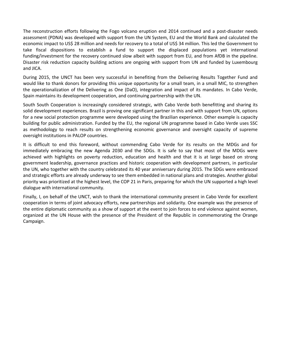The reconstruction efforts following the Fogo volcano eruption end 2014 continued and a post-disaster needs assessment (PDNA) was developed with support from the UN System, EU and the World Bank and calculated the economic impact to US\$ 28 million and needs for recovery to a total of US\$ 34 million. This led the Government to take fiscal dispositions to establish a fund to support the displaced populations yet international funding/investment for the recovery continued slow albeit with support from EU, and from AfDB in the pipeline. Disaster risk reduction capacity building actions are ongoing with support from UN and funded by Luxembourg and JICA.

During 2015, the UNCT has been very successful in benefiting from the Delivering Results Together Fund and would like to thank donors for providing this unique opportunity for a small team, in a small MIC, to strengthen the operationalization of the Delivering as One (DaO), integration and impact of its mandates. In Cabo Verde, Spain maintains its development cooperation, and continuing partnership with the UN.

South South Cooperation is increasingly considered strategic, with Cabo Verde both benefitting and sharing its solid development experiences. Brazil is proving one significant partner in this and with support from UN, options for a new social protection programme were developed using the Brazilian experience. Other example is capacity building for public administration. Funded by the EU, the regional UN programme based in Cabo Verde uses SSC as methodology to reach results on strengthening economic governance and oversight capacity of supreme oversight institutions in PALOP countries.

It is difficult to end this foreword, without commending Cabo Verde for its results on the MDGs and for immediately embracing the new Agenda 2030 and the SDGs. It is safe to say that most of the MDGs were achieved with highlights on poverty reduction, education and health and that it is at large based on strong government leadership, governance practices and historic cooperation with development partners, in particular the UN, who together with the country celebrated its 40 year anniversary during 2015. The SDGs were embraced and strategic efforts are already underway to see them embedded in national plans and strategies. Another global priority was prioritized at the highest level, the COP 21 in Paris, preparing for which the UN supported a high level dialogue with international community.

Finally, I, on behalf of the UNCT, wish to thank the international community present in Cabo Verde for excellent cooperation in terms of joint advocacy efforts, new partnerships and solidarity. One example was the presence of the entire diplomatic community as a show of support at the event to join forces to end violence against women, organized at the UN House with the presence of the President of the Republic in commemorating the Orange Campaign.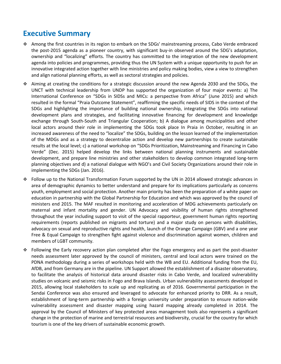# **Executive Summary**

- Among the first countries in its region to embark on the SDGs' mainstreaming process, Cabo Verde embraced the post-2015 agenda as a pioneer country, with significant buy-in observed around the SDG's adaptation, ownership and "localizing" efforts. The country has committed to the integration of the new development agenda into policies and programmes, providing thus the UN System with a unique opportunity to push for an innovative integrated action together with line ministries and policy making bodies, view a view to strengthen and align national planning efforts, as well as sectoral strategies and policies.
- $\div$  Aiming at creating the conditions for a strategic discussion around the new Agenda 2030 and the SDGs, the UNCT with technical leadership from UNDP has supported the organization of four major events: a) The International Conference on "SDGs in SIDSs and MICs: a perspective from Africa" (June 2015) and which resulted in the formal "Praia Outcome Statement", reaffirming the specific needs of SIDS in the context of the SDGs and highlighting the importance of building national ownership, integrating the SDGs into national development plans and strategies, and facilitating innovative financing for development and knowledge exchange through South-South and Triangular Cooperation; b) A dialogue among municipalities and other local actors around their role in implementing the SDGs took place In Praia in October, resulting in an increased awareness of the need to "localize" the SDGs, building on the lesson learned of the implementation of the MDGs and as a strategy to decentralize action and develop new partnerships to create sustainable results at the local level; c) a national workshop on "SDGs Prioritization, Mainstreaming and Financing in Cabo Verde" (Dec. 2015) helped develop the links between national planning instruments and sustainable development, and prepare line ministries and other stakeholders to develop common integrated long-term planning objectives and d) a national dialogue with NGO's and Civil Society Organizations around their role in implementing the SDGs (Jan. 2016).
- Follow up to the National Transformation Forum supported by the UN in 2014 allowed strategic advances in area of demographic dynamics to better understand and prepare for its implications particularly as concerns youth, employment and social protection. Another main priority has been the preparation of a white paper on education in partnership with the Global Partnership for Education and which was approved by the council of ministers end 2015. The MAF resulted in monitoring and acceleration of MDG achievements particularly on maternal and infant mortality and gender. UN Advocacy and visibility of human rights strengthened throughout the year including support to visit of the special rapporteur, government human rights reporting requirements (reports published on migrants and torture) and a major study on persons with disabilities, advocacy on sexual and reproductive rights and health, launch of the Orange Campaign (GBV) and a one year Free & Equal Campaign to strengthen fight against violence and discrimination against women, children and members of LGBT community.
- Following the Early recovery action plan completed after the Fogo emergency and as part the post-disaster needs assessment later approved by the council of ministers, central and local actors were trained on the PDNA methodology during a series of workshops held with the WB and EU. Additional funding from the EU, AfDB, and from Germany are in the pipeline. UN Support allowed the establishment of a disaster observatory, to facilitate the analysis of historical data around disaster risks in Cabo Verde, and localized vulnerability studies on volcanic and seismic risks in Fogo and Brava Islands. Urban vulnerability assessments developed in 2015, allowing local stakeholders to scale up and replicating as of 2016. Governmental participation in the Sendai Conference was also ensured and leveraged to advocate for enhanced priority to DRR. As a result, establishment of long-term partnership with a foreign university under preparation to ensure nation-wide vulnerability assessment and disaster mapping using hazard mapping already completed in 2014. The approval by the Council of Ministers of key protected areas management tools also represents a significant change in the protection of marine and terrestrial resources and biodiversity, crucial for the country for which tourism is one of the key drivers of sustainable economic growth.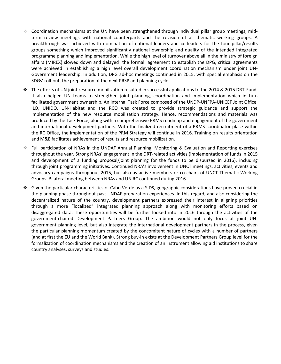- $\div$  Coordination mechanisms at the UN have been strengthened through individual pillar group meetings, midterm review meetings with national counterparts and the revision of all thematic working groups. A breakthrough was achieved with nomination of national leaders and co-leaders for the four pillar/results groups something which improved significantly national ownership and quality of the intended integrated programme planning and implementation. While the high level of turnover above all in the ministry of foreign affairs (MIREX) slowed down and delayed the formal agreement to establish the DPG, critical agreements were achieved in establishing a high level overall development coordination mechanism under joint UN-Government leadership. In addition, DPG ad-hoc meetings continued in 2015, with special emphasis on the SDGs' roll-out, the preparation of the next PRSP and planning cycle.
- The efforts of UN joint resource mobilization resulted in successful applications to the 2014 & 2015 DRT-Fund. It also helped UN teams to strengthen joint planning, coordination and implementation which in turn facilitated government ownership. An internal Task Force composed of the UNDP-UNFPA-UNICEF Joint Office, ILO, UNIDO, UN-Habitat and the RCO was created to provide strategic guidance and support the implementation of the new resource mobilization strategy. Hence, recommendations and materials was produced by the Task Force, along with a comprehensive PRMS roadmap and engagement of the government and international development partners. With the finalized recruitment of a PRMS coordinator place within the RC Office, the implementation of the PRM Strategy will continue in 2016. Training on results orientation and M&E facilitates achievement of results and resource mobilization.
- Full participation of NRAs in the UNDAF Annual Planning, Monitoring & Evaluation and Reporting exercises throughout the year. Strong NRAs' engagement in the DRT-related activities (implementation of funds in 2015 and development of a funding proposal/joint planning for the funds to be disbursed in 2016), including through joint programming initiatives. Continued NRA's involvement in UNCT meetings, activities, events and advocacy campaigns throughout 2015, but also as active members or co-chairs of UNCT Thematic Working Groups. Bilateral meeting between NRAs and UN RC continued during 2016.
- Given the particular characteristics of Cabo Verde as a SIDS, geographic considerations have proven crucial in the planning phase throughout past UNDAF preparation experiences. In this regard, and also considering the decentralized nature of the country, development partners expressed their interest in aligning priorities through a more "localized" integrated planning approach along with monitoring efforts based on disaggregated data. These opportunities will be further looked into in 2016 through the activities of the government-chaired Development Partners Group. The ambition would not only focus at joint UNgovernment planning level, but also integrate the international development partners in the process, given the particular planning momentum created by the concomitant nature of cycles with a number of partners (and at first the EU and the World Bank). Strong buy-in exists at the Development Partners Group level for the formalization of coordination mechanisms and the creation of an instrument allowing aid institutions to share country analyses, surveys and studies.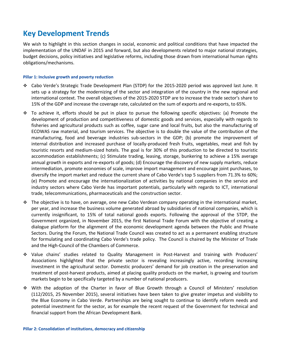## **Key Development Trends**

We wish to highlight in this section changes in social, economic and political conditions that have impacted the implementation of the UNDAF in 2015 and forward, but also developments related to major national strategies, budget decisions, policy initiatives and legislative reforms, including those drawn from international human rights obligations/mechanisms.

#### **Pillar 1: Inclusive growth and poverty reduction**

- Cabo Verde's Strategic Trade Development Plan (STDP) for the 2015-2020 period was approved last June. It sets up a strategy for the modernizing of the sector and integration of the country in the new regional and international context. The overall objectives of the 2015-2020 STDP are to increase the trade sector's share to 15% of the GDP and increase the coverage rate, calculated on the sum of exports and re-exports, to 65%.
- To achieve it, efforts should be put in place to pursue the following specific objectives: (a) Promote the development of production and competitiveness of domestic goods and services, especially with regards to fisheries and agricultural products such as coffee, sugar cane and local fruits, but also the manufacturing of ECOWAS raw material, and tourism services. The objective is to double the value of the contribution of the manufacturing, food and beverage industries sub-sectors in the GDP; (b) promote the improvement of internal distribution and increased purchase of locally-produced fresh fruits, vegetables, meat and fish by touristic resorts and medium-sized hotels. The goal is for 30% of this production to be directed to touristic accommodation establishments; (c) Stimulate trading, leasing, storage, bunkering to achieve a 15% average annual growth in exports and re-exports of goods; (d) Encourage the discovery of new supply markets, reduce intermediation, promote economies of scale, improve import management and encourage joint purchases, to diversify the import market and reduce the current share of Cabo Verde's top 5 suppliers from 71.3% to 60%; (e) Promote and encourage the internationalization of activities by national companies in the service and industry sectors where Cabo Verde has important potentials, particularly with regards to ICT, international trade, telecommunications, pharmaceuticals and the construction sector.
- $\div$  The objective is to have, on average, one new Cabo Verdean company operating in the international market, per year, and increase the business volume generated abroad by subsidiaries of national companies, which is currently insignificant, to 15% of total national goods exports. Following the approval of the STDP, the Government organized, in November 2015, the first National Trade Forum with the objective of creating a dialogue platform for the alignment of the economic development agenda between the Public and Private Sectors. During the Forum, the National Trade Council was created to act as a permanent enabling structure for formulating and coordinating Cabo Verde's trade policy. The Council is chaired by the Minister of Trade and the High-Council of the Chambers of Commerce.
- Value chains' studies related to Quality Management in Post-Harvest and training with Producers' Associations highlighted that the private sector is revealing increasingly active, recording increasing investment in the agricultural sector. Domestic producers' demand for job creation in the preservation and treatment of post-harvest products, aimed at placing quality products on the market, is growing and tourism markets begin to be specifically targeted by a number of national producers.
- With the adoption of the Charter in favor of Blue Growth through a Council of Ministers' resolution (112/2015, 25 November 2015), several initiatives have been taken to give greater impetus and visibility to the Blue Economy in Cabo Verde. Partnerships are being sought to continue to identify reform needs and potential investment for the sector, as for example the recent request of the Government for technical and financial support from the African Development Bank.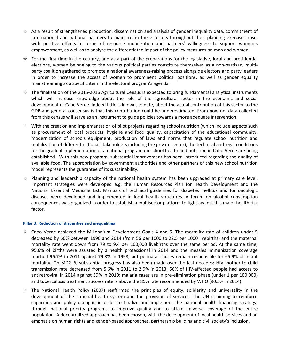- $\bullet$  As a result of strengthened production, dissemination and analysis of gender inequality data, commitment of international and national partners to mainstream these results throughout their planning exercises rose, with positive effects in terms of resource mobilization and partners' willingness to support women's empowerment, as well as to analyze the differentiated impact of the policy measures on men and women.
- For the first time in the country, and as a part of the preparations for the legislative, local and presidential elections, women belonging to the various political parties constitute themselves as a non-partisan, multiparty coalition gathered to promote a national awareness-raising process alongside electors and party leaders in order to increase the access of women to prominent political positions, as well as gender equality mainstreaming as a specific item in the electoral program's agenda.
- The finalization of the 2015-2016 Agricultural Census is expected to bring fundamental analytical instruments which will increase knowledge about the role of the agricultural sector in the economic and social development of Cape Verde. Indeed little is known, to date, about the actual contribution of this sector to the GDP and general consensus is that this contribution could be underestimated. From now on, data collected from this census will serve as an instrument to guide policies towards a more adequate intervention.
- With the creation and implementation of pilot projects regarding school nutrition (which include aspects such as procurement of local products, hygiene and food quality, capacitation of the educational community, modernization of schools equipment, production of laws and norms that regulate school nutrition and mobilization of different national stakeholders including the private sector), the technical and legal conditions for the gradual implementation of a national program on school health and nutrition in Cabo Verde are being established. With this new program, substantial improvement has been introduced regarding the quality of available food. The appropriation by government authorities and other partners of this new school nutrition model represents the guarantee of its sustainability.
- Planning and leadership capacity of the national health system has been upgraded at primary care level. Important strategies were developed e.g. the Human Resources Plan for Health Development and the National Essential Medicine List. Manuals of technical guidelines for diabetes mellitus and for oncologic diseases were developed and implemented in local health structures. A forum on alcohol consumption consequences was organized in order to establish a multisector platform to fight against this major health risk factor.

#### **Pillar 3: Reduction of disparities and inequalities**

- Cabo Verde achieved the Millennium Development Goals 4 and 5. The mortality rate of children under 5 decreased by 60% between 1990 and 2014 (from 56 per 1000 to 22.5 per 1000 livebirths) and the maternal mortality rate went down from 79 to 9.4 per 100,000 livebirths over the same period. At the same time, 95.6% of births were assisted by a health professional in 2014 and the measles immunization coverage reached 96.7% in 2011 against 79.8% in 1998; but perinatal causes remain responsible for 65.9% of infant mortality. On MDG 6, substantial progress has also been made over the last decades: HIV mother-to-child transmission rate decreased from 5.6% in 2011 to 2.9% in 2013; 56% of HIV-affected people had access to antiretroviral in 2014 against 39% in 2010; malaria cases are in pre-elimination phase (under 1 per 100,000) and tuberculosis treatment success rate is above the 85% rate recommended by WHO (90.5% in 2014).
- The National Health Policy (2007) reaffirmed the principles of equity, solidarity and universality in the development of the national health system and the provision of services. The UN is aiming to reinforce capacities and policy dialogue in order to finalize and implement the national health financing strategy, through national priority programs to improve quality and to attain universal coverage of the entire population. A decentralized approach has been chosen, with the development of local health services and an emphasis on human rights and gender-based approaches, partnership building and civil society's inclusion.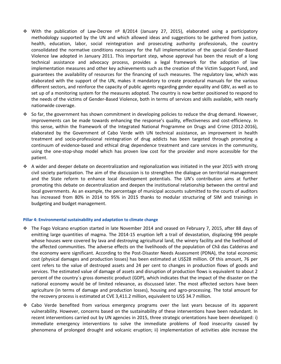- With the publication of Law-Decree nº 8/2014 (January 27, 2015), elaborated using a participatory methodology supported by the UN and which allowed ideas and suggestions to be gathered from justice, health, education, labor, social reintegration and prosecuting authority professionals, the country consolidated the normative conditions necessary for the full implementation of the special Gender-Based Violence law adopted in January 2011. This important step, whose approval has been the result of a long technical assistance and advocacy process, provides a legal framework for the adoption of law implementation measures and other key achievements such as the creation of the Victim Support Fund, and guarantees the availability of resources for the financing of such measures. The regulatory law, which was elaborated with the support of the UN, makes it mandatory to create procedural manuals for the various different sectors, and reinforce the capacity of public agents regarding gender equality and GBV, as well as to set up of a monitoring system for the measures adopted. The country is now better positioned to respond to the needs of the victims of Gender-Based Violence, both in terms of services and skills available, with nearly nationwide coverage.
- $\div$  So far, the government has shown commitment in developing policies to reduce the drug demand. However, improvements can be made towards enhancing the response's quality, effectiveness and cost-efficiency. In this sense, within the framework of the Integrated National Programme on Drugs and Crime (2012-2016), elaborated by the Government of Cabo Verde with UN technical assistance, an improvement in health treatment and socio-professional reintegration of drug addicts has been targeted through promoting a continuum of evidence-based and ethical drug dependence treatment and care services in the community, using the one-stop-shop model which has proven low cost for the provider and more accessible for the patient.
- A wider and deeper debate on decentralization and regionalization was initiated in the year 2015 with strong civil society participation. The aim of the discussion is to strengthen the dialogue on territorial management and the State reform to enhance local development potentials. The UN's contribution aims at further promoting this debate on decentralization and deepen the institutional relationship between the central and local governments. As an example, the percentage of municipal accounts submitted to the courts of auditors has increased from 80% in 2014 to 95% in 2015 thanks to modular structuring of SIM and trainings in budgeting and budget management.

#### **Pillar 4: Environmental sustainability and adaptation to climate change**

- The Fogo Volcano eruption started in late November 2014 and ceased on February 7, 2015, after 88 days of emitting large quantities of magma. The 2014-15 eruption left a trail of devastation, displacing 994 people whose houses were covered by lava and destroying agricultural land, the winery facility and the livelihood of the affected communities. The adverse effects on the livelihoods of the population of Chã das Caldeiras and the economy were significant. According to the Post-Disaster Needs Assessment (PDNA), the total economic cost (physical damages and production losses) has been estimated at US\$28 million. Of this amount, 76 per cent refers to the value of destroyed assets and 24 per cent to changes in production flows of goods and services. The estimated value of damage of assets and disruption of production flows is equivalent to about 2 percent of the country´s gross domestic product (GDP), which indicates that the impact of the disaster on the national economy would be of limited relevance, as discussed later. The most affected sectors have been agriculture (in terms of damage and production losses), housing and agro-processing. The total amount for the recovery process is estimated at CVE 3,411.2 million, equivalent to US\$ 34.7 million.
- Cabo Verde benefited from various emergency programs over the last years because of its apparent vulnerability. However, concerns based on the sustainability of these interventions have been redundant. In recent interventions carried out by UN agencies in 2015, three strategic orientations have been developed: i) immediate emergency interventions to solve the immediate problems of food insecurity caused by phenomena of prolonged drought and volcanic eruption; ii) implementation of activities able increase the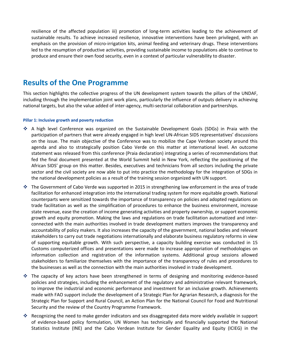resilience of the affected population iii) promotion of long-term activities leading to the achievement of sustainable results. To achieve increased resilience, innovative interventions have been privileged, with an emphasis on the provision of micro-irrigation kits, animal feeding and veterinary drugs. These interventions led to the resumption of productive activities, providing sustainable income to populations able to continue to produce and ensure their own food security, even in a context of particular vulnerability to disaster.

## **Results of the One Programme**

This section highlights the collective progress of the UN development system towards the pillars of the UNDAF, including through the implementation joint work plans, particularly the influence of outputs delivery in achieving national targets, but also the value added of inter-agency, multi-sectorial collaboration and partnerships.

#### **Pillar 1: Inclusive growth and poverty reduction**

- A high level Conference was organized on the Sustainable Development Goals (SDGs) in Praia with the participation of partners that were already engaged in high level UN-African SIDS representatives' discussions on the issue. The main objective of the Conference was to mobilize the Cape Verdean society around this agenda and also to strategically position Cabo Verde on this matter at international level. An outcome statement was released from this conference (Praia declaration) integrating a series of recommendations that fed the final document presented at the World Summit held in New York, reflecting the positioning of the African SIDS' group on this matter. Besides, executives and technicians from all sectors including the private sector and the civil society are now able to put into practice the methodology for the integration of SDGs in the national development policies as a result of the training session organized with UN support.
- The Government of Cabo Verde was supported in 2015 in strengthening law enforcement in the area of trade facilitation for enhanced integration into the international trading system for more equitable growth. National counterparts were sensitized towards the importance of transparency on policies and adopted regulations on trade facilitation as well as the simplification of procedures to enhance the business environment, increase state revenue, ease the creation of income generating activities and property ownership, or support economic growth and equity promotion. Making the laws and regulations on trade facilitation automatized and interconnected with the main authorities involved in trade development matters improves the transparency and accountability of policy makers. It also increases the capacity of the government, national bodies and relevant stakeholders to carry out trade negotiations internationally and elaborate business regulatory reforms in view of supporting equitable growth. With such perspective, a capacity building exercise was conducted in 15 Customs computerized offices and presentations were made to increase appropriation of methodologies on information collection and registration of the information systems. Additional group sessions allowed stakeholders to familiarize themselves with the importance of the transparency of rules and procedures to the businesses as well as the connection with the main authorities involved in trade development.
- The capacity of key actors have been strengthened in terms of designing and monitoring evidence-based policies and strategies, including the enhancement of the regulatory and administrative relevant framework, to improve the industrial and economic performance and investment for an inclusive growth. Achievements made with FAO support include the development of a Strategic Plan for Agrarian Research, a diagnosis for the Strategic Plan for Support and Rural Council, an Action Plan for the National Council for Food and Nutritional Security and the review of the Country Programme Framework.
- Recognizing the need to make gender indicators and sex disaggregated data more widely available in support of evidence-based policy formulation, UN Women has technically and financially supported the National Statistics Institute (INE) and the Cabo Verdean Institute for Gender Equality and Equity (ICIEG) in the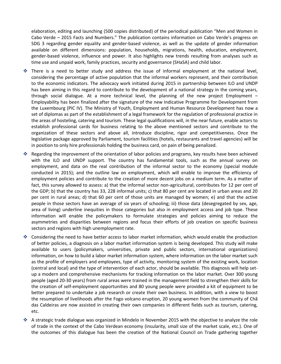elaboration, editing and launching (500 copies distributed) of the periodical publication "Men and Women in Cabo Verde – 2015 Facts and Numbers." The publication contains information on Cabo Verde's progress on SDG 3 regarding gender equality and gender-based violence, as well as the update of gender information available on different dimensions: population, households, migrations, health, education, employment, gender-based violence, influence and power. It also highlights new trends resulting from analyses such as time use and unpaid work, family practices, security and governance (SHaSA) and child labor.

- $\cdot$  There is a need to better study and address the issue of informal employment at the national level, considering the percentage of active population that the informal workers represent, and their contribution to the economic indicators. The advocacy work initiated during 2015 in partnership between ILO and UNDP has been aiming in this regard to contribute to the development of a national strategy in the coming years, through social dialogue. At a more technical level, the planning of the new project Employment – Employability has been finalized after the signature of the new Indicative Programme for Development from the Luxembourg (PIC IV). The Ministry of Youth, Employment and Human Resource Development has now a set of diplomas as part of the establishment of a legal framework for the regulation of professional practice in the areas of hosteling, catering and tourism. These legal qualifications will, in the near future, enable actors to establish professional cards for business relating to the above mentioned sectors and contribute to the organization of these sectors and above all, introduce discipline, rigor and competitiveness. Once the legislative package approved by Parliament, tourism facilities (hotels, restaurants and travel agencies) will be in position to only hire professionals holding the business card, on pain of being penalized.
- Regarding the improvement of the orientation of labor policies and programs, key results have been achieved with the ILO and UNDP support. The country has fundamental tools, such as the annual survey on employment, and data on the real contribution of the informal sector to the economy (special module conducted in 2015); and the outline law on employment, which will enable to improve the efficiency of employment policies and contribute to the creation of more decent jobs on a medium term. As a matter of fact, this survey allowed to assess: a) that the informal sector non-agricultural, contributes for 12 per cent of the GDP; b) that the country has 33, 228 informal units; c) that 80 per cent are located in urban areas and 20 per cent in rural areas; d) that 60 per cent of those units are managed by women; e) and that the active people in those sectors have an average of six years of schooling; iii) those data (desegregated by sex, age, area of living) underline inequities in those categories but also in employment access and job type. These information will enable the policymakers to formulate strategies and policies aiming to reduce the asymmetries and disparities between regions and focus their efforts of job creation on specific business sectors and regions with high unemployment rate.
- ❖ Considering the need to have better access to labor market information, which would enable the production of better policies, a diagnosis on a labor market information system is being developed. This study will make available to users (policymakers, universities, private and public sectors, international organizations) information, on how to build a labor market information system, where information on the labor market such as the profile of employers and employees, type of activity, monitoring system of the existing work, location (central and local) and the type of intervention of each actor, should be available. This diagnosis will help setup a modern and comprehensive mechanisms for tracking information on the labor market. Over 300 young people (aged 20-30 years) from rural areas were trained in the management field to strengthen their skills for the creation of self-employment opportunities and 80 young people were provided a kit of equipment to be better prepared to undertake a job research or create their own business. In addition, with a view to boost the resumption of livelihoods after the Fogo volcano eruption, 20 young women from the community of Chã das Caldeiras are now assisted in creating their own companies in different fields such as tourism, catering, etc.
- $\cdot$  A strategic trade dialogue was organized in Mindelo in November 2015 with the objective to analyze the role of trade in the context of the Cabo Verdean economy (insularity, small size of the market scale, etc.). One of the outcomes of this dialogue has been the creation of the National Council on Trade gathering together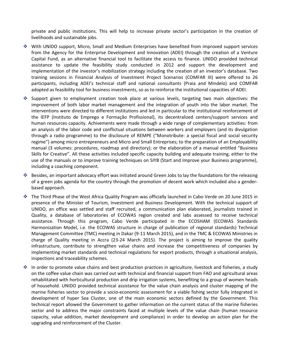private and public institutions. This will help to increase private sector's participation in the creation of livelihoods and sustainable jobs.

- With UNIDO support, Micro, Small and Medium Enterprises have benefited from improved support services from the Agency for the Enterprise Development and Innovation (ADEI) through the creation of a Venture Capital Fund, as an alternative financial tool to facilitate the access to finance. UNIDO provided technical assistance to update the feasibility study conducted in 2012 and support the development and implementation of the investor's mobilization strategy including the creation of an investor's database. Two training sessions in Financial Analysis of Investment Project Scenarios (COMFAR III) were offered to 26 participants, including ADEI's technical staff and national consultants (Praia and Mindelo) and COMFAR adopted as feasibility tool for business investments, so as to reinforce the institutional capacities of ADEI.
- Support given to employment creation took place at various levels, targeting two main objectives: the improvement of both labor market management and the integration of youth into the labor market. The interventions were directed to different institutions and led in particular to the institutional reinforcement of the IEFP (Instituto de Emprego e Formação Profissional), its decentralized centers/support services and human resources capacity. Achivements were made through a wide range of complementary activities: from an analysis of the labor code and conflictual situations between workers and employers (and its divulgation through a radio programme) to the disclosure of REMPE ("Monotribute: a special fiscal and social security regime") among micro entrepreneurs and Micro and Small Entreprises; to the preparation of an Employability manual (3 volumes: procedures, roadmap and directory); or the elaboration of a manual entitled "Business Skills for Creative". All these activities included specific capacity building and adequate training, either to the use of the manuals or to improve training techniques on SIYB (Start and Improve your Business programme), including a coaching component.
- Besides, an important advocacy effort was initiated around Green Jobs to lay the foundations for the releasing of a green jobs agenda for the country through the promotion of decent work which included also a genderbased approach.
- The Third Phase of the West Africa Quality Program was officially launched in Cabo Verde on 20 June 2015 in presence of the Minister of Tourism, Investment and Business Development. With the technical support of UNIDO, an office was settled and staff recruited, a communication plan elaborated, journalists trained in Quality, a database of laboratories of ECOWAS region created and labs assessed to receive technical assistance. Through this program, Cabo Verde participated in the ECOSHAM (ECOWAS Standards Harmonization Model, i.e. the ECOWAS structure in charge of publication of regional standards) Technical Management Committee (TMC) meeting in Dakar (9-11 March 2015), and in the TMC & ECOWAS Ministries in charge of Quality meeting in Accra (23-24 March 2015). The project is aiming to improve the quality infrastructure, contribute to strengthen value chains and increase the competitiveness of companies by implementing market standards and technical regulations for export products, through a situational analysis, inspections and traceability schemes.
- In order to promote value chains and best production practices in agriculture, livestock and fisheries, a study on the coffee value chain was carried out with technical and financial support from FAO and agricultural areas rehabilitated with horticultural production and drip irrigation systems, benefiting to a group of women heads of household. UNIDO provided technical assistance for the value chain analysis and cluster mapping of the marine fisheries sector to provide a socio-economic assessment for a viable fishing sector fully integrated in development of hyper Sea Cluster, one of the main economic sectors defined by the Government. This technical report allowed the Government to gather information on the current status of the marine fisheries sector and to address the major constraints faced at multiple levels of the value chain (human resource capacity, value addition, market development and compliance) in order to develop an action plan for the upgrading and reinforcement of the Cluster.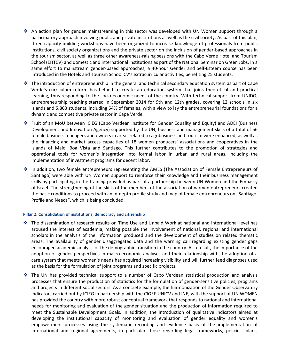- ❖ An action plan for gender mainstreaming in this sector was developed with UN Women support through a participatory approach involving public and private institutions as well as the civil society. As part of this plan, three capacity-building workshops have been organized to increase knowledge of professionals from public institutions, civil society organizations and the private sector on the inclusion of gender-based approaches in the tourism sector, as well as three other awareness-raising sessions with the Cabo Verde Hotel and Tourism School (EHTCV) and domestic and international institutions as part of the National Seminar on Green Jobs. In a same effort to mainstream gender-based approaches, a 40-hour Gender and Self-Esteem course has been introduced in the Hotels and Tourism School CV's extracurricular activities, benefiting 25 students.
- $\cdot \cdot$  The introduction of entrepreneurship in the general and technical secondary education system as part of Cape Verde's curriculum reform has helped to create an education system that joins theoretical and practical learning, thus responding to the socio-economic needs of the country. With technical support from UNIDO, entrepreneurship teaching started in September 2014 for 9th and 12th grades, covering 12 schools in six islands and 5.863 students, including 54% of females, with a view to lay the entrepreneurial foundations for a dynamic and competitive private sector in Cape Verde.
- Fruit of an MoU between ICIEG (Cabo Verdean Institute for Gender Equality and Equity) and ADEI (Business Development and Innovation Agency) supported by the UN, business and management skills of a total of 56 female business managers and owners in areas related to agribusiness and tourism were enhanced, as well as the financing and market access capacities of 18 women producers' associations and cooperatives in the islands of Maio, Boa Vista and Santiago. This further contributes to the promotion of strategies and operational tools for women's integration into formal labor in urban and rural areas, including the implementation of investment programs for decent labor.
- In addition, two female entrepreneurs representing the AMES (The Association of Female Entrepreneurs of Santiago) were able with UN Women support to reinforce their knowledge and their business management skills by participating in the training provided as part of a partnership between UN Women and the Embassy of Israel. The strengthening of the skills of the members of the association of women entrepreneurs created the basic conditions to proceed with an in-depth profile study and map of female entrepreneurs on "Santiago: Profile and Needs", which is being concluded.

#### **Pillar 2: Consolidation of institutions, democracy and citizenship**

- The dissemination of research results on Time Use and Unpaid Work at national and international level has aroused the interest of academia, making possible the involvement of national, regional and international scholars in the analysis of the information produced and the development of studies on related thematic areas. The availability of gender disaggregated data and the warning call regarding existing gender gaps encouraged academic analysis of the demographic transition in the country. As a result, the importance of the adoption of gender perspectives in macro-economic analyses and their relationship with the adoption of a care system that meets women's needs has acquired increasing visibility and will further feed diagnoses used as the basis for the formulation of joint programs and specific projects.
- The UN has provided technical support to a number of Cabo Verdean statistical production and analysis processes that ensure the production of statistics for the formulation of gender-sensitive policies, programs and projects in different social sectors. As a concrete example, the harmonization of the Gender Observatory indicators carried out by ICIEG in partnership with the CIGEF-UNICV and INE, with the support of UN WOMEN has provided the country with more robust conceptual framework that responds to national and international needs for monitoring and evaluation of the gender situation and the production of information required to meet the Sustainable Development Goals. In addition, the introduction of qualitative indicators aimed at developing the institutional capacity of monitoring and evaluation of gender equality and women's empowerment processes using the systematic recording and evidence basis of the implementation of international and regional agreements, in particular those regarding legal frameworks, policies, plans,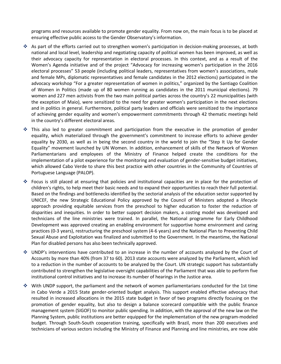programs and resources available to promote gender equality. From now on, the main focus is to be placed at ensuring effective public access to the Gender Observatory's information.

- As part of the efforts carried out to strengthen women's participation in decision-making processes, at both national and local level, leadership and negotiating capacity of political women has been improved, as well as their advocacy capacity for representation in electoral processes. In this context, and as a result of the Women's Agenda initiative and of the project "Advocacy for increasing women's participation in the 2016 electoral processes" 53 people (including political leaders, representatives from women's associations, male and female MPs, diplomatic representatives and female candidates in the 2012 elections) participated in the advocacy workshop "For a greater representation of women in politics," organized by the Santiago Coalition of Women in Politics (made up of 80 women running as candidates in the 2011 municipal elections). 79 women and 227 men activists from the two main political parties across the country's 22 municipalities (with the exception of Maio), were sensitized to the need for greater women's participation in the next elections and in politics in general. Furthermore, political party leaders and officials were sensitized to the importance of achieving gender equality and women's empowerment commitments through 42 thematic meetings held in the country's different electoral areas.
- $\div$  This also led to greater commitment and participation from the executive in the promotion of gender equality, which materialized through the government's commitment to increase efforts to achieve gender equality by 2030, as well as in being the second country in the world to join the "Step It Up for Gender Equality" movement launched by UN Women. In addition, enhancement of skills of the Network of Women Parliamentarians and employees of the Ministry of Finance helped create the conditions for the implementation of a pilot experience for the monitoring and evaluation of gender-sensitive budget initiatives, which allowed Cabo Verde to share this best practice with other countries in the Community of Countries of Portuguese Language (PALOP).
- Focus is still placed at ensuring that policies and institutional capacities are in place for the protection of children's rights, to help meet their basic needs and to expand their opportunities to reach their full potential. Based on the findings and bottlenecks identified by the sectorial analysis of the education sector supported by UNICEF, the new Strategic Educational Policy approved by the Council of Ministers adopted a lifecycle approach providing equitable services from the preschool to higher education to foster the reduction of disparities and inequities. In order to better support decision makers, a costing model was developed and technicians of the line ministries were trained. In parallel, the National programme for Early Childhood Development was approved creating an enabling environment for supportive home environment and caring practices (0-3 years), restructuring the preschool system (4-6 years) and the National Plan to Preventing Child Sexual Abuse and Exploitation was finalized and submitted to the Government. In the meantime, the National Plan for disabled persons has also been technically approved.
- UNDP's interventions have contributed to an increase in the number of accounts analyzed by the Court of Accounts by more than 40% (from 37 to 60). 2013 state accounts were analyzed by the Parliament, which led to a reduction in the number of accounts to be analyzed by the Court. UN strategic support has substantially contributed to strengthen the legislative oversight capabilities of the Parliament that was able to perform five institutional control initiatives and to increase its number of hearings in the Justice area.
- $\cdot$  With UNDP support, the parliament and the network of women parliamentarians conducted for the 1st time in Cabo Verde a 2015 State gender-oriented budget analysis. This support enabled effective advocacy that resulted in increased allocations in the 2015 state budget in favor of two programs directly focusing on the promotion of gender equality, but also to design a balance scorecard compatible with the public finance management system (SIGOF) to monitor public spending. In addition, with the approval of the new law on the Planning System, public institutions are better equipped for the implementation of the new program-modeled budget. Through South-South cooperation training, specifically with Brazil, more than 200 executives and technicians of various sectors including the Ministry of Finance and Planning and line ministries, are now able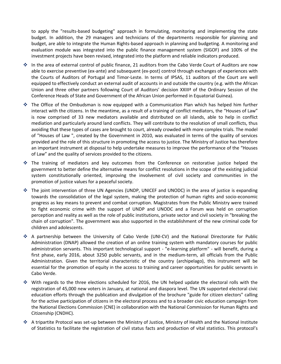to apply the "results-based budgeting" approach in formulating, monitoring and implementing the state budget. In addition, the 29 managers and technicians of the departments responsible for planning and budget, are able to integrate the Human Rights-based approach in planning and budgeting. A monitoring and evaluation module was integrated into the public finance management system (SIGOF) and 100% of the investment projects have been revised, integrated into the platform and reliable indicators produced.

- In the area of external control of public finance, 21 auditors from the Cabo Verde Court of Auditors are now able to exercise preventive (ex-ante) and subsequent (ex-post) control through exchanges of experiences with the Courts of Auditors of Portugal and Timor-Leste. In terms of IPSAS, 11 auditors of the Court are well equipped to effectively conduct an external audit of accounts in and outside the country (e.g. with the African Union and three other partners following Court of Auditors' decision XXIIIª of the Ordinary Session of the Conference Heads of State and Government of the African Union performed in Equatorial Guinea).
- The Office of the Ombudsman is now equipped with a Communication Plan which has helped him further interact with the citizens. In the meantime, as a result of a training of conflict mediators, the "Houses of Law" is now comprised of 33 new mediators available and distributed on all islands, able to help in conflict mediation and particularly around land conflicts. They will contribute to the resolution of small conflicts, thus avoiding that these types of cases are brought to court, already crowded with more complex trials. The model of "Houses of Law ", created by the Government in 2010, was evaluated in terms of the quality of services provided and the role of this structure in promoting the access to justice. The Ministry of Justice has therefore an important instrument at disposal to help undertake measures to improve the performance of the "Houses of Law" and the quality of services provided to the citizens.
- The training of mediators and key outcomes from the Conference on restorative justice helped the government to better define the alternative means for conflict resolutions in the scope of the existing judicial system constitutionally oriented, improving the involvement of civil society and communities in the promotion of justice values for a peaceful society.
- The joint intervention of three UN Agencies (UNDP, UNICEF and UNODC) in the area of justice is expanding towards the consolidation of the legal system, making the protection of human rights and socio-economic progress as key means to prevent and combat corruption. Magistrates from the Public Ministry were trained to fight economic crime with the support of UNDP and UNODC and a Forum was held on corruption perception and reality as well as the role of public institutions, private sector and civil society in "breaking the chain of corruption". The government was also supported in the establishment of the new criminal code for children and adolescents.
- A partnership between the University of Cabo Verde (UNI-CV) and the National Directorate for Public Administration (DNAP) allowed the creation of an online training system with mandatory courses for public administration servants. This important technological support - "e-learning platform" - will benefit, during a first phase, early 2016, about 3250 public servants, and in the medium-term, all officials from the Public Administration. Given the territorial characteristic of the country (archipelago), this instrument will be essential for the promotion of equity in the access to training and career opportunities for public servants in Cabo Verde.
- $\cdot \cdot$  With regards to the three elections scheduled for 2016, the UN helped update the electoral rolls with the registration of 45,000 new voters in January, at national and diaspora level. The UN supported electoral civic education efforts through the publication and divulgation of the brochure "guide for citizen electors" calling for the active participation of citizens in the electoral process and to a broader civic education campaign from the National Elections Commission (CNE) in collaboration with the National Commission for Human Rights and Citizenship (CNDHC).
- A tripartite Protocol was set-up between the Ministry of Justice, Ministry of Health and the National Institute of Statistics to facilitate the registration of civil status facts and production of vital statistics. This protocol's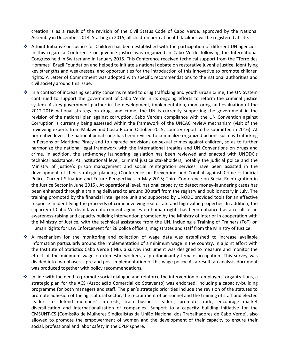creation is as a result of the revision of the Civil Status Code of Cabo Verde, approved by the National Assembly in December 2014. Starting in 2015, all children born at health facilities will be registered at site.

- A Joint Initiative on Justice for Children has been established with the participation of different UN agencies. In this regard a Conference on juvenile justice was organized in Cabo Verde following the International Congress held in Switzerland in January 2015. This Conference received technical support from the "Terre des Hommes" Brazil Foundation and helped to initiate a national debate on restorative juvenile justice, identifying key strengths and weaknesses, and opportunities for the introduction of this innovative to promote children rights. A Letter of Commitment was adopted with specific recommendations to the national authorities and civil society around this issue.
- In a context of increasing security concerns related to drug trafficking and youth urban crime, the UN System continued to support the government of Cabo Verde in its ongoing efforts to reform the criminal justice system. As key government partner in the development, implementation, monitoring and evaluation of the 2012-2016 national strategy on drugs and crime, the UN is currently supporting the government in the revision of the national plan against corruption. Cabo Verde's compliance with the UN Convention against Corruption is currently being assessed within the framework of the UNCAC review mechanism (visit of the reviewing experts from Malawi and Costa Rica in October 2015, country report to be submitted in 2016). At normative level, the national penal code has been revised to criminalize organized actions such as Trafficking in Persons or Maritime Piracy and to upgrade provisions on sexual crimes against children, so as to further harmonize the national legal framework with the international treaties and UN Conventions on drugs and crime. In addition, the anti-money laundering legislation has been reviewed and enacted with UNODC's technical assistance. At institutional level, criminal justice stakeholders, notably the judicial police and the Ministry of justice's prison management and social reintegration services have been assisted in the development of their strategic planning (Conference on Prevention and Combat against Crime – Judicial Police, Current Situation and Future Perspectives in May 2015; Third Conference on Social Reintegration in the Justice Sector in June 2015). At operational level, national capacity to detect money-laundering cases has been enhanced through a training delivered to around 30 staff from the registry and public notary in July. The training promoted by the financial intelligence unit and supported by UNODC provided tools for an effective response in identifying the proceeds of crime involving real estate and high-value properties. In addition, the capacity of Cabo Verdean law enforcement agencies on human rights has been enhanced as a result of an awareness-raising and capacity building intervention promoted by the Ministry of Interior in cooperation with the Ministry of Justice, with the technical assistance from the UN, including a Training of Trainers (ToT) on Human Rights for Law Enforcement for 28 police officers, magistrates and staff from the Ministry of Justice.
- A mechanism for the monitoring and collection of wage data was established to increase available information particularly around the implementation of a minimum wage in the country. In a joint effort with the Institute of Statistics Cabo Verde (INE), a survey instrument was designed to measure and monitor the effect of the minimum wage on domestic workers, a predominantly female occupation. This survey was divided into two phases – pre and post implementation of this wage policy. As a result, an analysis document was produced together with policy recommendations.
- ❖ In line with the need to promote social dialogue and reinforce the intervention of employers' organizations, a strategic plan for the ACS (Associação Comercial do Sotavento) was endorsed, including a capacity-building programme for both managers and staff. The plan's strategic priorities include the revision of the statutes to promote adhesion of the agricultural sector, the recruitment of personnel and the training of staff and elected leaders to defend members' interests, train business leaders, promote trade, encourage market diversification and internationalization of companies. Support to a capacity building initiative for the CMSUNT-CS (Comissão de Mulheres Sindicalistas da União Nacional dos Trabalhadores de Cabo Verde), also allowed to promote the empowerment of women and the development of their capacity to ensure their social, professional and labor safety in the CPLP sphere.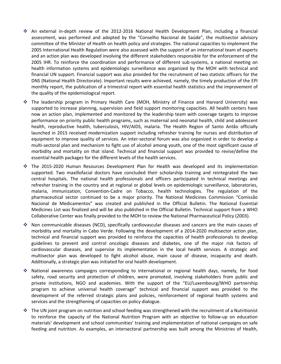- An external in-depth review of the 2012-2016 National Health Development Plan, including a financial assessment, was performed and adopted by the "Conselho Nacional de Saúde", the multisector advisory committee of the Minister of Health on health policy and strategies. The national capacities to implement the 2005 International Health Regulation were also assessed with the support of an international team of experts and an action plan was developed involving the different stakeholders responsible for the enforcement of the 2005 IHR. To reinforce the coordination and performance of different sub-systems, a national meeting on health information systems and epidemiologic surveillance was organized by the MOH with technical and financial UN support. Financial support was also provided for the recruitment of two statistic officers for the DNS (National Health Directorate). Important results were achieved, namely, the timely production of the EPI monthly report, the publication of a trimestral report with essential health statistics and the improvement of the quality of the epidemiological report.
- The leadership program in Primary Health Care (MOH, Ministry of Finance and Harvard University) was supported to increase planning, supervision and field support monitoring capacities. All health centers have now an action plan, implemented and monitored by the leadership team with coverage targets to improve performance on priority public health programs, such as maternal and neonatal health, child and adolescent health, reproductive health, tuberculosis, HIV/AIDS, malaria. The Health Region of Santo Antão officially launched in 2015 received modernization support including refresher training for nurses and distribution of equipment to improve quality of services. An inter-sectoral forum was also organized in order to develop a multi-sectoral plan and mechanism to fight use of alcohol among youth, one of the most significant cause of morbidity and mortality on that island. Technical and financial support was provided to revise/define the essential health packages for the different levels of the health services.
- The 2015-2020 Human Resources Development Plan for Health was developed and its implementation supported. Two maxillofacial doctors have concluded their scholarship training and reintegrated the two central hospitals. The national health professionals and officers participated in technical meetings and refresher training in the country and at regional or global levels on epidemiologic surveillance, laboratories, malaria, immunization, Convention-Cadre on Tobacco, health technologies. The regulation of the pharmaceutical sector continued to be a major priority. The National Medicines Commission "Comissão Nacional de Medicamentos" was created and published in the Official Bulletin. The National Essential Medicines List was finalized and will be also published in the Official Bulletin. Technical support from a WHO Collaborative Center was finally provided to the MOH to review the National Pharmaceutical Policy (2003).
- Non communicable diseases (NCD), specifically cardiovascular diseases and cancers are the main causes of morbidity and mortality in Cabo Verde. Following the development of a 2014-2020 multisector action plan, technical and financial support was provided to reinforce the capacities of health professionals to develop guidelines to prevent and control oncologic diseases and diabetes, one of the major risk factors of cardiovascular diseases, and supervise its implementation in the local health services. A strategic and multisector plan was developed to fight alcohol abuse, main cause of disease, incapacity and death. Additionally, a strategic plan was initiated for oral health development.
- National awareness campaigns corresponding to international or regional health days, namely, for food safety, road security and protection of children, were promoted, involving stakeholders from public and private institutions, NGO and academies. With the support of the "EU/Luxembourg/WHO partnership program to achieve universal health coverage" technical and financial support was provided to the development of the referred strategic plans and policies, reinforcement of regional health systems and services and the strengthening of capacities on policy dialogue.
- The UN joint program on nutrition and school feeding was strengthened with the recruitment of a Nutritionist to reinforce the capacity of the National Nutrition Program with an objective to follow-up on education materials' development and school communities' training and implementation of national campaigns on safe feeding and nutrition. As examples, an intersectoral partnership was built among the Ministries of Health,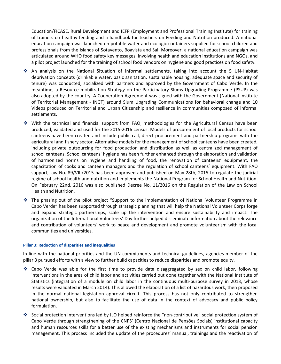Education/FICASE, Rural Development and IEFP (Employment and Professional Training Institute) for training of trainers on healthy feeding and a handbook for teachers on Feeding and Nutrition produced. A national education campaign was launched on potable water and ecologic containers supplied for school children and professionals from the islands of Sotavento, Boavista and Sal. Moreover, a national education campaign was articulated around WHO food safety key messages, involving health and education institutions and NGOs, and a pilot project launched for the training of school food vendors on hygiene and good practices on food safety.

- An analysis on the National Situation of informal settlements, taking into account the 5 UN-Habitat deprivation concepts (drinkable water, basic sanitation, sustainable housing, adequate space and security of tenure) was conducted, socialized with partners and approved by the Government of Cabo Verde. In the meantime, a Resource mobilization Strategy on the Participatory Slums Upgrading Programme (PSUP) was also adopted by the country. A Cooperation Agreement was signed with the Government (National Institute of Territorial Management - INGT) around Slum Upgrading Communications for behavioral change and 10 Videos produced on Territorial and Urban Citizenship and resilience in communities composed of informal settlements.
- With the technical and financial support from FAO, methodologies for the Agricultural Census have been produced, validated and used for the 2015-2016 census. Models of procurement of local products for school canteens have been created and include public call, direct procurement and partnership programs with the agricultural and fishery sector. Alternative models for the management of school canteens have been created, including private outsourcing for food production and distribution as well as centralized management of school canteens. School canteens' hygiene has been further enhanced through the elaboration and validation of harmonized norms on hygiene and handling of food, the renovation of canteens' equipment, the capacitation of cooks and canteen managers and the regulation of school canteens' equipment. With FAO support, law No. 89/VIII/2015 has been approved and published on May 28th, 2015 to regulate the judicial regime of school health and nutrition and implements the National Program for School Health and Nutrition. On February 22nd, 2016 was also published Decree No. 11/2016 on the Regulation of the Law on School Health and Nutrition.
- The phasing out of the pilot project "Support to the implementation of National Volunteer Programme in Cabo Verde" has been supported through strategic planning that will help the National Volunteer Corps forge and expand strategic partnerships, scale up the intervention and ensure sustainability and impact. The organization of the International Volunteers' Day further helped disseminate information about the relevance and contribution of volunteers' work to peace and development and promote volunteerism with the local communities and universities.

#### **Pillar 3: Reduction of disparities and inequalities**

In line with the national priorities and the UN commitments and technical guidelines, agencies member of the pillar 3 pursued efforts with a view to further build capacities to reduce disparities and promote equity.

- Cabo Verde was able for the first time to provide data disaggregated by sex on child labor, following interventions in the area of child labor and activities carried out done together with the National Institute of Statistics (integration of a module on child labor in the continuous multi-purpose survey in 2013, whose results were validated in March 2014). This allowed the elaboration of a list of hazardous work, then proposed in the normal national legislation approval circuit. This process has not only contributed to strengthen national ownership, but also to facilitate the use of data in the context of advocacy and public policy formulation.
- Social protection interventions led by ILO helped reinforce the "non-contributive" social protection system of Cabo Verde through strengthening of the CNPS' (Centro Nacional de Pensões Sociais) institutional capacity and human resources skills for a better use of the existing mechanisms and instruments for social pension management. This process included the update of the procedures' manual, trainings and the reactivation of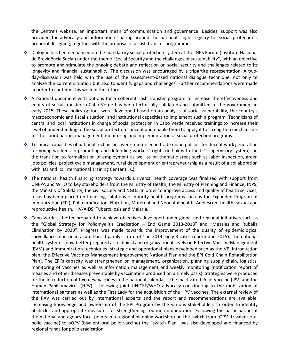the Centre's website, an important mean of communication and governance. Besides, support was also provided for advocacy and information sharing around the national single registry for social protection's proposal designing, together with the proposal of a cash transfer programme.

- Dialogue has been enhanced on the mandatory social protection system at the INPS Forum (Instituto Nacional de Previdência Social) under the theme "Social Security and the challenges of sustainability", with an objective to promote and stimulate the ongoing debate and reflection on social security and challenges related to its longevity and financial sustainability. The discussion was encouraged by a tripartite representation. A twoday-discussion was held with the use of the assessment-based national dialogue technique, not only to analyze the current situation but also to identify gaps and challenges. Further recommendations were made in order to continue this work in the future.
- A national document with options for a coherent cash transfer program to increase the effectiveness and equity of social transfer in Cabo Verde has been technically validated and submitted to the government in early 2015. These policy options were developed based on an analysis of social vulnerability, the country's macroeconomic and fiscal situation, and institutional capacities to implement such a program. Technicians of central and local institutions in charge of social protection in Cabo Verde received trainings to increase their level of understanding of the social protection concept and enable them to apply it to strengthen mechanisms for the coordination, management, monitoring and implementation of social protection programs.
- Fechnical capacities of national technicians were reinforced in trade union policies for decent work generation for young workers, in promoting and defending workers' rights (in link with the ILO supervisory system), on the transition to formalization of employment as well as on thematic areas such as labor inspection, green jobs policies, project cycle management, rural development or entrepreneurship as a result of a collaboration with ILO and its International Training Center (ITC).
- $\cdot$  The national health financing strategy towards universal health coverage was finalized with support from UNFPA and WHO to key stakeholders from the Ministry of Health, the Ministry of Planning and Finance, INPS, the Ministry of Solidarity, the civil society and NGOs. In order to improve access and quality of health services, focus has been placed on financing solutions of priority health programs such as the Expanded Program of Immunization (EPI), Polio eradication, Nutrition, Maternal and Neonatal health, Adolescent health, sexual and reproductive health, HIV/AIDS, Tuberculosis and Malaria.
- Cabo Verde is better prepared to achieve objectives developed under global and regional initiatives such as the "Global Strategy for Poliomyelitis Eradication – End Game 2013-2018" and "Measles and Rubella Elimination by 2020". Progress was made towards the improvement of the quality of epidemiological surveillance (non-polio acute flaccid paralysis rate of 1 in 2014; only 3 cases reported in 2015). The national health system is now better prepared at technical and organizational levels on Effective Vaccine Management (EVM) and immunization techniques (strategic and operational plans developed such as the VPI introduction plan, the Effective Vaccines Management Improvement National Plan and the EPI Cold Chain Rehabilitation Plan). The EPI's capacity was strengthened on management, organization, planning supply chain, logistics, monitoring of vaccines as well as information management and weekly monitoring (notification report of measles and other diseases preventable by vaccination produced on a timely basis). Strategies were produced for the introduction of two new vaccines in the national calendar – the Inactivated Polio Vaccine (IPV) and the Human Papillomavirus (HPV) – following joint UNICEF/WHO advocacy contributing to the mobilization of international partners as well as the First Lady for the acquisition of the HPV vaccines. The external review of the PAV was carried out by international experts and the report and recommendations are available, increasing knowledge and ownership of the EPI Program by the various stakeholders in order to identify obstacles and appropriate measures for strengthening routine immunization. Following the participation of the national and agency focal points in a regional planning workshop on the switch from tOPV (trivalent oral polio vaccine) to bOPV (bivalent oral polio vaccine) the "switch Plan" was also developed and financed by regional funds for polio eradication.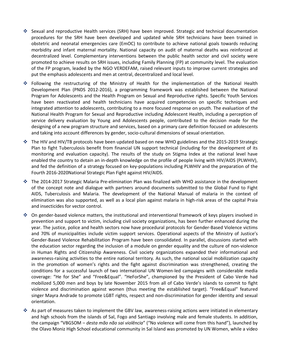- Sexual and reproductive Health services (SRH) have been improved. Strategic and technical documentation procedures for the SRH have been developed and updated while SRH technicians have been trained in obstetric and neonatal emergencies care (EmOC) to contribute to achieve national goals towards reducing morbidity and infant maternal mortality. National capacity on audit of maternal deaths was reinforced at decentralized level. Complementary interventions between the public health sector and civil society were promoted to achieve results on SRH issues, including Family Planning (FP) at community level. The evaluation of the FP program, leaded by the NGO VERDEFAM, raised relevant inputs to improve current strategies and put the emphasis adolescents and men at central, decentralized and local level.
- Following the restructuring of the Ministry of Health for the implementation of the National Health Development Plan (PNDS 2012-2016), a programming framework was established between the National Program for Adolescents and the Health Program on Sexual and Reproductive rights. Specific Youth Services have been reactivated and health technicians have acquired competencies on specific techniques and integrated attention to adolescents, contributing to a more focused response on youth. The evaluation of the National Health Program for Sexual and Reproductive including Adolescent Health, including a perception of service delivery evaluation by Young and Adolescents people, contributed to the decision made for the designing of a new program structure and services, based on a primary care definition focused on adolescents and taking into account differences by gender, socio-cultural dimensions of sexual orientation.
- The HIV and HIV/TB protocols have been updated based on new WHO guidelines and the 2015-2019 Strategic Plan to fight Tuberculosis benefit from financial UN support technical (including for the development of its monitoring and evaluation capacity). The results of the study on Stigma Index at the national level have enabled the country to detain an in-depth knowledge on the profile of people living with HIV/AIDS (PLWHIV), and fed the definition of a strategy focused on key-populations including PLWHIV and the preparation of the Fourth 2016-2020National Strategic Plan Fight against HIV/AIDS.
- The 2014-2017 Strategic Malaria Pre-elimination Plan was finalized with WHO assistance in the development of the concept note and dialogue with partners around documents submitted to the Global Fund to Fight AIDS, Tuberculosis and Malaria. The development of the National Manual of malaria in the context of elimination was also supported, as well as a local plan against malaria in high-risk areas of the capital Praia and insecticides for vector control.
- On gender-based violence matters, the institutional and interventional framework of keys players involved in prevention and support to victim, including civil society organizations, has been further enhanced during the year. The justice, police and health sectors now have procedural protocols for Gender-Based Violence victims and 70% of municipalities include victim support services. Operational aspects of the Ministry of Justice's Gender-Based Violence Rehabilitation Program have been consolidated. In parallel, discussions started with the education sector regarding the inclusion of a module on gender equality and the culture of non-violence in Human Rights and Citizenship Awareness. Civil society organizations expanded their informational and awareness-raising activities to the entire national territory. As such, the national social mobilization capacity in the promotion of women's rights and the fight against discrimination was strengthened, creating the conditions for a successful launch of two international UN Women-led campaigns with considerable media coverage: "He for She" and "Free&Equal". "HeForShe", championed by the President of Cabo Verde had mobilized 5,000 men and boys by late November 2015 from all of Cabo Verde's islands to commit to fight violence and discrimination against women (thus meeting the established target). "Free&Equal" featured singer Mayra Andrade to promote LGBT rights, respect and non-discrimination for gender identity and sexual orientation.
- As part of measures taken to implement the GBV law, awareness-raising actions were initiated in elementary and high schools from the islands of Sal, Fogo and Santiago involving male and female students. In addition, the campaign "VBGSOM – *desta mão não sai violência*" ("No violence will come from this hand"), launched by the Olavo Moniz High School educational community in Sal Island was promoted by UN Women, while a video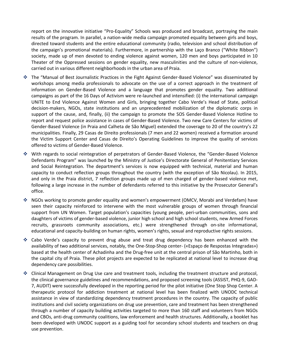report on the innovative initiative "Pro-Equality" Schools was produced and broadcast, portraying the main results of the program. In parallel, a nation-wide media campaign promoted equality between girls and boys, directed toward students and the entire educational community (radio, television and school distribution of the campaign's promotional materials). Furthermore, in partnership with the Laço Branco ("White Ribbon") society, made up of men devoted to ending violence against women, 120 men and boys participated in 10 Theater of the Oppressed sessions on gender equality, new masculinities and the culture of non-violence, carried out in various different neighborhoods in the urban area of Praia.

- The "Manual of Best Journalistic Practices in the Fight Against Gender-Based Violence" was disseminated by workshops among media professionals to advocate on the use of a correct approach in the treatment of information on Gender-Based Violence and a language that promotes gender equality. Two additional campaigns as part of the 16 Days of Activism were re-launched and intensified: (i) the international campaign UNiTE to End Violence Against Women and Girls, bringing together Cabo Verde's Head of State, political decision-makers, NGOs, state institutions and an unprecedented mobilization of the diplomatic corps in support of the cause, and, finally, (ii) the campaign to promote the SOS Gender-Based Violence Hotline to report and request police assistance in cases of Gender-Based Violence. Two new Care Centers for victims of Gender-Based Violence (in Praia and Calheta de São Miguel) extended the coverage to 20 of the country's 22 municipalities. Finally, 29 Casas de Direito professionals (7 men and 22 women) received a formation around the Victim Support Center and Casas de Direito's Operating Guidelines to improve the quality of services offered to victims of Gender-Based Violence.
- With regards to social reintegration of perpetrators of Gender-Based Violence, the "Gender-Based Violence Defendants Program" was launched by the Ministry of Justice's Directorate General of Penitentiary Services and Social Reintegration. The department's services is now equipped with technical, material and human capacity to conduct reflection groups throughout the country (with the exception of São Nicolau). In 2015, and only in the Praia district, 7 reflection groups made up of men charged of gender-based violence met, following a large increase in the number of defendants referred to this initiative by the Prosecutor General's office.
- NGOs working to promote gender equality and women's empowerment (OMCV, Morabi and Verdefam) have seen their capacity reinforced to intervene with the most vulnerable groups of women through financial support from UN Women. Target population's capacities (young people, peri-urban communities, sons and daughters of victims of gender-based violence, junior high school and high school students, new Armed Forces recruits, grassroots community associations, etc.) were strengthened through on-site informational, educational and capacity-building on human rights, women's rights, sexual and reproductive rights sessions.
- Cabo Verde's capacity to prevent drug abuse and treat drug dependency has been enhanced with the availability of two additional services, notably, the One-Stop-Shop center- («Espaço de Respostas Integradas») based at the health center of Achadinha and the Drug-free unit at the central prison of São Martinho, both in the capital city of Praia. These pilot projects are expected to be replicated at national level to increase drug dependency care possibilities.
- ❖ Clinical Management on Drug Use care and treatment tools, including the treatment structure and protocol, the clinical governance guidelines and recommendations, and proposed screening tools (ASSIST, PHQ-9, GAD-7, AUDIT) were successfully developed in the reporting period for the pilot initiative (One Stop Shop Center. A therapeutic protocol for addiction treatment at national level has been finalized with UNODC technical assistance in view of standardizing dependency treatment procedures in the country. The capacity of public institutions and civil society organizations on drug use prevention, care and treatment has been strengthened through a number of capacity building activities targeted to more than 160 staff and volunteers from NGOs and CBOs, anti-drug community coalitions, law enforcement and health structures. Additionally, a booklet has been developed with UNODC support as a guiding tool for secondary school students and teachers on drug use prevention.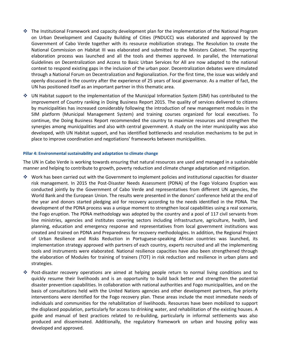- $\cdot$  The Institutional Framework and capacity development plan for the implementation of the National Program on Urban Development and Capacity Building of Cities (PNDUCC) was elaborated and approved by the Government of Cabo Verde together with its resource mobilization strategy. The Resolution to create the National Commission on Habitat III was elaborated and submitted to the Ministers Cabinet. The reporting elaboration process was launched and all the tools and themes approved. In parallel, the International Guidelines on Decentralization and Access to Basic Urban Services for All are now adapted to the national context to respond existing gaps in the inclusion of the urban poor. Decentralization debates were stimulated through a National Forum on Decentralization and Regionalization. For the first time, the issue was widely and openly discussed in the country after the experience of 25 years of local governance. As a matter of fact, the UN has positioned itself as an important partner in this thematic area.
- UN Habitat support to the implementation of the Municipal Information System (SIM) has contributed to the improvement of Country ranking in Doing Business Report 2015. The quality of services delivered to citizens by municipalities has increased considerably following the introduction of new management modules in the SIM platform (Municipal Management System) and training courses organized for local executives. To continue, the Doing Business Report recommended the country to maximize resources and strengthen the synergies among municipalities and also with central government. A study on the inter municipality was also developed, with UN Habitat support, and has identified bottlenecks and resolution mechanisms to be put in place to improve coordination and negotiations' frameworks between municipalities.

#### **Pillar 4: Environmental sustainability and adaptation to climate change**

The UN in Cabo Verde is working towards ensuring that natural resources are used and managed in a sustainable manner and helping to contribute to growth, poverty reduction and climate change adaptation and mitigation.

- Work has been carried out with the Government to implement policies and institutional capacities for disaster risk management. In 2015 the Post-Disaster Needs Assessment (PDNA) of the Fogo Volcano Eruption was conducted jointly by the Government of Cabo Verde and representatives from different UN agencies, the World Bank and the European Union. The results were presented in the donors' conference held at the end of the year and donors started pledging aid for recovery according to the needs identified in the PDNA. The development of the PDNA process was a unique moment to strengthen local capabilities using a real scenario, the Fogo eruption. The PDNA methodology was adopted by the country and a pool of 117 civil servants from line ministries, agencies and institutes covering sectors including infrastructure, agriculture, health, land planning, education and emergency response and representatives from local government institutions was created and trained on PDNA and Preparedness for recovery methodologies. In addition, the Regional Project of Urban Resilience and Risks Reduction in Portuguese-speaking African countries was launched, its implementation strategy approved with partners of each country, experts recruited and all the implementing tools and instruments were elaborated. National resilience capacities have also been strengthened through the elaboration of Modules for training of trainers (TOT) in risk reduction and resilience in urban plans and strategies.
- Post-disaster recovery operations are aimed at helping people return to normal living conditions and to quickly resume their livelihoods and is an opportunity to build back better and strengthen the potential disaster prevention capabilities. In collaboration with national authorities and Fogo municipalities, and on the basis of consultations held with the United Nations agencies and other development partners, five priority interventions were identified for the Fogo recovery plan. These areas include the most immediate needs of individuals and communities for the rehabilitation of livelihoods. Resources have been mobilized to support the displaced population, particularly for access to drinking water, and rehabilitation of the existing houses. A guide and manual of best practices related to re-building, particularly in informal settlements was also produced and disseminated. Additionally, the regulatory framework on urban and housing policy was developed and approved.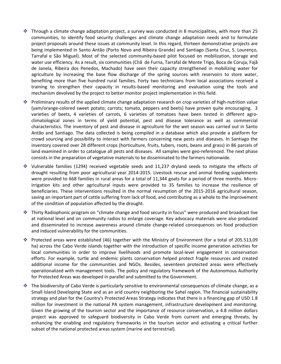- $\cdot$  Through a climate change adaptation project, a survey was conducted in 8 municipalities, with more than 25 communities, to identify food security challenges and climate change adaptation needs and to formulate project proposals around these issues at community level. In this regard, thirteen demonstrative projects are being implemented in Santo Antão (Porto Novo and Ribeira Grande) and Santiago (Santa Cruz, S. Lourenço, Tarrafal e São Miguel). Most of the selected community-based pilot focused on mobilization, storage and water use efficiency. As a result, six communities (Chã de Furna, Tarrafal de Monte Trigo, Boca de Coruja, Fajã de Janela, Ribeira dos Penedos, Machado) have seen their capacity strengthened in mobilizing water for agriculture by increasing the base flow discharge of the spring sources with reservoirs to store water, benefiting more than five hundred rural families. Forty two technicians from local associations received a training to strengthen their capacity in results-based monitoring and evaluation using the tools and mechanism devolved by the project to better monitor project implementation in this field.
- Preliminary results of the applied climate change adaptation research on crop varieties of high-nutrition value (yam/orange-colored sweet potato; carrots; tomato, peppers and beets) have proven quite encouraging. 3 varieties of beets, 4 varieties of carrots, 6 varieties of tomatoes have been tested in different agroclimatological zones in terms of yield potential, pest and disease tolerance as well as commercial characteristics. The inventory of pest and disease in agriculture for the wet season was carried out in Santo Antão and Santiago. The data collected is being compiled in a database which also provide a platform for crowd sourcing and possibility to interact with farmers concerning new pests and diseases. In Santiago the inventory covered over 28 different crops (horticulture, fruits, tubers, roots, beans and grass) in 86 parcels of land examined in order to catalogue all pests and diseases. All samples were geo-referenced. The next phase consists in the preparation of vegetative materials to be disseminated to the farmers nationwide.
- Vulnerable families (1294) received vegetable seeds and 11,237 dryland seeds to mitigate the effects of drought resulting from poor agricultural year 2014-2015. Livestock rescue and animal feeding supplements were provided to 668 families in rural areas for a total of 11,344 goats for a period of three months. Microirrigation kits and other agricultural inputs were provided to 35 families to increase the resilience of beneficiaries. These interventions resulted in the normal resumption of the 2015-2016 agricultural season, saving an important part of cattle suffering from lack of food, and contributing as a whole to the improvement of the condition of population affected by the drought.
- Thirty Radiophonic program on "climate change and food security in focus" were produced and broadcast live at national level and on community radios to enlarge coverage. Key advocacy materials were also produced and disseminated to increase awareness around climate change-related consequences on food production and induced vulnerability for the communities.
- Protected areas were established (46) together with the Ministry of Environment (for a total of 205.513,09 ha) across the Cabo Verde islands together with the introduction of specific income generation activities for local communities in order to improve livelihoods and promote local-level engagement in conservation efforts. For example, turtle and endemic plants conservation helped protect fragile resources and created additional income for the communities and NGOs. Besides, seventeen protected areas were effectively operationalized with management tools. The policy and regulatory framework of the Autonomous Authority for Protected Areas was developed in parallel and submitted to the Government.
- $\cdot \cdot$  The biodiversity of Cabo Verde is particularly sensitive to environmental consequences of climate change, as a Small Island Developing State and as an arid country neighboring the Sahel region. The financial sustainability strategy and plan for the Country's Protected Areas Strategy indicates that there is a financing gap of USD 1.8 million for investment in the national PA system management, infrastructure development and monitoring. Given the growing of the tourism sector and the importance of resource conservation, a 4.8 million dollars project was approved to safeguard biodiversity in Cabo Verde from current and emerging threats, by enhancing the enabling and regulatory frameworks in the tourism sector and activating a critical further subset of the national protected areas system (marine and terrestrial).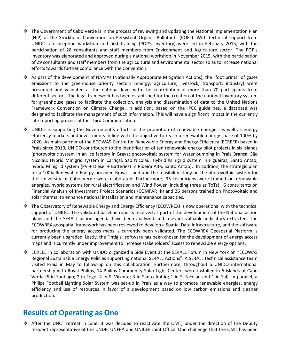- $\cdot \cdot$  The Government of Cabo Verde is in the process of reviewing and updating the National Implementation Plan (NIP) of the Stockholm Convention on Persistent Organic Pollutants (POPs). With technical support from UNIDO, an inception workshop and first training (POP's inventory) were led in February 2015, with the participation of 28 consultants and staff members from Environment and Agriculture sector. The POP's inventory was elaborated and approved during a national workshop in November 2015, with the participation of 29 consultants and staff members from the agricultural and environmental sector so as to increase national efforts towards further compliance with the Convention.
- As part of the development of NAMAs (Nationally Appropriate Mitigation Actions), the "foot prints" of gases emissions to the greenhouse priority sectors (energy, agriculture, livestock, transport, industry) were presented and validated at the national level with the contribution of more than 70 participants from different sectors. The legal framework has been established for the creation of the national inventory system for greenhouse gases to facilitate the collection, analysis and dissemination of data to the United Nations Framework Convention on Climate Change. In addition, based on the IPCC guidelines, a database was designed to facilitate the management of such information. This will have a significant impact in the currently late reporting process of the Third Communication.
- $\cdot$  UNIDO is supporting the Government's efforts in the promotion of renewable energies as well as energy efficiency markets and investments in line with the objective to reach a renewable energy share of 100% by 2020. As main partner of the ECOWAS Centre for Renewable Energy and Energy Efficiency (ECREEE) based in Praia since 2010, UNIDO contributed to the identification of ten renewable energy pilot projects in six islands (photovoltaic system in an ice factory in Brava; photovoltaic system for water pumping in Praia Branca, São Nicolau; Hybrid Minigrid system in Carriçal, São Nicolau; Hybrid Minigrid system in Figueiras, Santo Antão; hybrid Minigrid system (PV + Diesel + Batteries) in Ribeira Alta, Santo Antão). In addition, the strategic plan for a 100% Renewable Energy-provided Brava Island and the feasibility study on the photovoltaic system for the University of Cabo Verde were elaborated. Furthermore, 95 technicians were trained on renewable energies, hybrid systems for rural electrification and Wind Power (including three as ToTs), 6 consultants on Financial Analysis of Investment Project Scenarios (COMFAR III) and 26 persons trained on Photovoltaic and solar thermal to enhance national installation and maintenance capacities.
- The Observatory of Renewable Energy and Energy Efficiency (ECOWREX) is now operational with the technical support of UNIDO. The validated baseline reports received as part of the development of the National action plans and the SE4ALL action agenda have been analyzed and relevant valuable indicators extracted. The ECOWREX geospatial framework has been reviewed to develop a Spatial Data Infrastructure, and the software for producing the energy access maps is currently been validated. The ECOWREX Geospatial Platform is currently been upgraded. Lastly, the "Intigis" software has been chosen for the development of energy access maps and is currently under improvement to increase stakeholders' access to renewable energy options.
- ECREEE in collaboration with UNIDO organized a Side Event at the SE4ALL Forum in New York on "ECOWAS Regional Sustainable Energy Policies supporting national SE4ALL Actions". A SE4ALL technical assistance team visited Praia in May to follow-up on this collaboration. Furthermore, throughout a UNIDO international partnership with Royal Philips, 14 Philips Community Solar Light Centers were installed in 6 islands of Cabo Verde (5 in Santiago; 2 in Fogo; 2 in S. Vicente; 3 in Santo Antão; 1 in S. Nicolau and 1 in Sal). In parallel, a Philips Football Lighting Solar System was set-up in Praia as a way to promote renewable energies, energy efficiency and use of resources in favor of a development based on low carbon emissions and cleaner production.

## **Results of Operating as One**

 After the UNCT retreat in June, it was decided to reactivate the OMT, under the direction of the Deputy resident representative of the UNDP, UNFPA and UNICEF Joint Office. One challenge that the OMT has been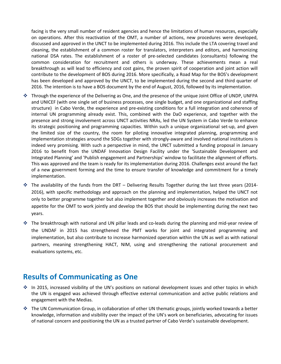facing is the very small number of resident agencies and hence the limitations of human resources, especially on operations. After this reactivation of the OMT, a number of actions, new procedures were developed, discussed and approved in the UNCT to be implemented during 2016. This include the LTA covering travel and cleaning, the establishment of a common roster for translators, interpreters and editors, and harmonizing national DSA rates. The establishment of a roster of pre-selected candidates (consultants) following the common consideration for recruitment and others is underway. These achievements mean a real breakthrough as will lead to efficiency and cost gains, the proven spirit of cooperation and joint action will contribute to the development of BOS during 2016. More specifically, a Road Map for the BOS's development has been developed and approved by the UNCT, to be implemented during the second and third quarter of 2016. The intention is to have a BOS document by the end of August, 2016, followed by its implementation.

- Through the experience of the Delivering as One, and the presence of the unique Joint Office of UNDP, UNFPA and UNICEF (with one single set of business processes, one single budget, and one organizational and staffing structure) in Cabo Verde, the experience and pre-existing conditions for a full integration and coherence of internal UN programming already exist. This, combined with the DaO experience, and together with the presence and strong involvement across UNCT activities NRAs, led the UN System in Cabo Verde to enhance its strategic positioning and programming capacities. Within such a unique organizational set-up, and given the limited size of the country, the room for piloting innovative integrated planning, programming and implementation strategies around the SDGs together with strongly-aware and involved national institutions is indeed very promising. With such a perspective in mind, the UNCT submitted a funding proposal in January 2016 to benefit from the UNDAF Innovation Design Facility under the 'Sustainable Development and Integrated Planning' and 'Publish engagement and Partnerships' window to facilitate the alignment of efforts. This was approved and the team is ready for its implementation during 2016. Challenges exist around the fact of a new government forming and the time to ensure transfer of knowledge and commitment for a timely implementation.
- $\cdot$  The availability of the funds from the DRT Delivering Results Together during the last three years (2014-2016), with specific methodology and approach on the planning and implementation, helped the UNCT not only to better programme together but also implement together and obviously increases the motivation and appetite for the OMT to work jointly and develop the BOS that should be implementing during the next two years.
- The breakthrough with national and UN pillar leads and co-leads during the planning and mid-year review of the UNDAF in 2015 has strengthened the PMT works for joint and integrated programming and implementation, but also contribute to increase harmonized operation within the UN as well as with national partners, meaning strengthening HACT, NIM, using and strengthening the national procurement and evaluations systems, etc.

## **Results of Communicating as One**

- ❖ In 2015, increased visibility of the UN's positions on national development issues and other topics in which the UN is engaged was achieved through effective external communication and active public relations and engagement with the Medias.
- The UN Communication Group, in collaboration of other UN thematic groups, jointly worked towards a better knowledge, information and visibility over the impact of the UN's work on beneficiaries, advocating for issues of national concern and positioning the UN as a trusted partner of Cabo Verde's sustainable development.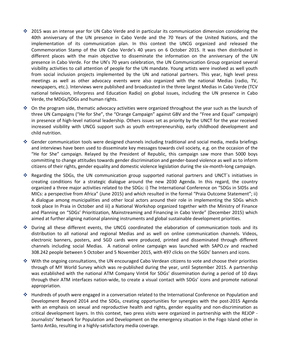- 2015 was an intense year for UN Cabo Verde and in particular its communication dimension considering the 40th anniversary of the UN presence in Cabo Verde and the 70 Years of the United Nations, and the implementation of its communication plan. In this context the UNCG organized and released the Commemoration Stamp of the UN Cabo Verde's 40 years on 6 October 2015. It was then distributed in different places with the main objective to disseminate the information on the anniversary of the UN presence in Cabo Verde. For the UN's 70 years celebration, the UN Communication Group organized several visibility activities to call attention of people for the UN mandate. Young artists were involved as well youth from social inclusion projects implemented by the UN and national partners. This year, high level press meetings as well as other advocacy events were also organized with the national Medias (radio, TV, newspapers, etc.). Interviews were published and broadcasted in the three largest Medias in Cabo Verde (TCV national television, Inforpress and Education Radio) on global issues, including the UN presence in Cabo Verde, the MDGs/SDGs and human rights.
- On the program side, thematic advocacy activities were organized throughout the year such as the launch of three UN Campaigns ("He for She", the "Orange Campaign" against GBV and the "Free and Equal" campaign) in presence of high-level national leadership. Others issues set as priority by the UNCT for the year received increased visibility with UNCG support such as youth entrepreneurship, early childhood development and child nutrition.
- Gender communication tools were designed channels including traditional and social media, media briefings and interviews have been used to disseminate key messages towards civil society, e.g. on the occasion of the "He for She" campaign. Relayed by the President of Republic, this campaign saw more than 5000 boys committing to change attitudes towards gender discrimination and gender-based violence as well as to inform citizens of their rights, gender equality and domestic violence legislation during the six-month-long campaign.
- Regarding the SDGs, the UN communication group supported national partners and UNCT´s initiatives in creating conditions for a strategic dialogue around the new 2030 Agenda. In this regard, the country organized a three major activities related to the SDGs: i) The International Conference on "SDGs in SIDSs and MICs: a perspective from Africa" (June 2015) and which resulted in the formal "Praia Outcome Statement"; ii) A dialogue among municipalities and other local actors around their role in implementing the SDGs which took place In Praia in October and iii) a National Workshop organized together with the Ministry of Finance and Planning on "SDGs' Prioritization, Mainstreaming and Financing in Cabo Verde" (December 2015) which aimed at further aligning national planning instruments and global sustainable development priorities.
- During all these different events, the UNCG coordinated the elaboration of communication tools and its distribution to all national and regional Medias and as well on online communication channels. Videos, electronic banners, posters, and SGD cards were produced, printed and disseminated through different channels including social Medias. A national online campaign was launched with SAPO.cv and reached 308.242 people between 5 October and 5 November 2015, with 497 clicks on the SGDs' banners and icons.
- With the ongoing consultations, the UN encouraged Cabo Verdean citizens to vote and choose their priorities through of MY World Survey which was re-published during the year, until September 2015. A partnership was established with the national ATM Company Vinti4 for SDGs' dissemination during a period of 10 days through their ATM interfaces nation-wide, to create a visual contact with SDGs' icons and promote national appropriation.
- Hundreds of youth were engaged in a conversation related to the International Conference on Population and Development Beyond 2014 and the SDGs, creating opportunities for synergies with the post-2015 Agenda with an emphasis on sexual and reproductive health and rights, gender equality and non-discrimination as critical development layers. In this context, two press visits were organized in partnership with the REJOP - Journalists' Network for Population and Development on the emergency situation in the Fogo Island other in Santo Antão, resulting in a highly-satisfactory media coverage.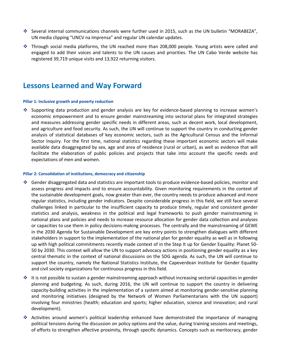- Several internal communications channels were further used in 2015, such as the UN bulletin "MORABEZA", UN media clipping "UNCV na Imprensa" and regular UN calendar updates.
- Through social media platforms, the UN reached more than 208,000 people. Young artists were called and engaged to add their voices and talents to the UN causes and priorities. The UN Cabo Verde website has registered 39,719 unique visits and 13,922 returning visitors.

### **Lessons Learned and Way Forward**

#### **Pillar 1: Inclusive growth and poverty reduction**

 $\cdot$  Supporting data production and gender analysis are key for evidence-based planning to increase women's economic empowerment and to ensure gender mainstreaming into sectorial plans for integrated strategies and measures addressing gender specific needs in different areas, such as decent work, local development, and agriculture and food security. As such, the UN will continue to support the country in conducting gender analysis of statistical databases of key economic sectors, such as the Agricultural Census and the Informal Sector Inquiry. For the first time, national statistics regarding these important economic sectors will make available data disaggregated by sex, age and area of residence (rural or urban), as well as evidence that will facilitate the elaboration of public policies and projects that take into account the specific needs and expectations of men and women.

#### **Pillar 2: Consolidation of institutions, democracy and citizenship**

- Gender disaggregated data and statistics are important tools to produce evidence-based policies, monitor and assess progress and impacts and to ensure accountability. Given monitoring requirements in the context of the sustainable development goals, now greater than ever, the country needs to produce advanced and more regular statistics, including gender indicators. Despite considerable progress in this field, we still face several challenges linked in particular to the insufficient capacity to produce timely, regular and consistent gender statistics and analysis, weakness in the political and legal frameworks to push gender mainstreaming in national plans and policies and needs to increase resource allocation for gender data collection and analyses or capacities to use them in policy decisions-making processes. The centrally and the mainstreaming of GEWE in the 2030 Agenda for Sustainable Development are key entry points to strengthen dialogues with different stakeholders in support to the implementation of the national plan for gender equality as well as in following up with high political commitments recently made context of in the Step It up for Gender Equality: Planet 50- 50 by 2030. This context will allow the UN to support advocacy actions in positioning gender equality as a key central thematic in the context of national discussions on the SDG agenda. As such, the UN will continue to support the country, namely the National Statistics Institute, the Capeverdean Institute for Gender Equality and civil society organizations for continuous progress in this field.
- $\cdot \cdot$  It is not possible to sustain a gender mainstreaming approach without increasing sectorial capacities in gender planning and budgeting. As such, during 2016, the UN will continue to support the country in delivering capacity-building activities in the implementation of a system aimed at monitoring gender-sensitive planning and monitoring initiatives (designed by the Network of Women Parliamentarians with the UN support) involving four ministries (health; education and sports; higher education, science and innovation; and rural development).
- $\cdot$  Activities around women's political leadership enhanced have demonstrated the importance of managing political tensions during the discussion on policy options and the value, during training sessions and meetings, of efforts to strengthen affective proximity, through specific dynamics. Concepts such as meritocracy, gender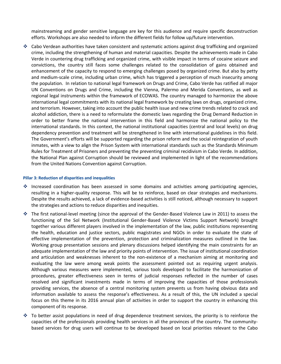mainstreaming and gender sensitive language are key for this audience and require specific deconstruction efforts. Workshops are also needed to inform the different fields for follow up/future intervention.

 Cabo Verdean authorities have taken consistent and systematic actions against drug trafficking and organized crime, including the strengthening of human and material capacities. Despite the achievements made in Cabo Verde in countering drug trafficking and organized crime, with visible impact in terms of cocaine seizure and convictions, the country still faces some challenges related to the consolidation of gains obtained and enhancement of the capacity to respond to emerging challenges posed by organized crime. But also by petty and medium-scale crime, including urban crime, which has triggered a perception of much insecurity among the population. In relation to national legal framework on Drugs and Crime, Cabo Verde has ratified all major UN Conventions on Drugs and Crime, including the Vienna, Palermo and Merida Conventions, as well as regional legal instruments within the framework of ECOWAS. The country managed to harmonize the above international legal commitments with its national legal framework by creating laws on drugs, organized crime, and terrorism. However, taking into account the public health issue and new crime trends related to crack and alcohol addiction, there is a need to reformulate the domestic laws regarding the Drug Demand Reduction in order to better frame the national intervention in this field and harmonize the national policy to the international standards. In this context, the national institutional capacities (central and local levels) on drug dependency prevention and treatment will be strengthened in line with international guidelines in this field. The Government's efforts will be supported regarding the prison reform and the social reintegration of youth inmates, with a view to align the Prison System with international standards such as the Standards Minimum Rules for Treatment of Prisoners and preventing the preventing criminal recidivism in Cabo Verde. In addition, the National Plan against Corruption should be reviewed and implemented in light of the recommendations from the United Nations Convention against Corruption.

#### **Pillar 3: Reduction of disparities and inequalities**

- $\cdot$  Increased coordination has been assessed in some domains and activities among participating agencies, resulting in a higher-quality response. This will be to reinforce, based on clear strategies and mechanisms. Despite the results achieved, a lack of evidence-based activities is still noticed, although necessary to support the strategies and actions to reduce disparities and inequities.
- The first national-level meeting (since the approval of the Gender-Based Violence Law in 2011) to assess the functioning of the Sol Network (Institutional Gender-Based Violence Victims Support Network) brought together various different players involved in the implementation of the law, public institutions representing the health, education and justice sectors, public magistrates and NGOs in order to evaluate the state of effective implementation of the prevention, protection and criminalization measures outlined in the law. Working group presentation sessions and plenary discussions helped identifying the main constraints for an adequate implementation of the law and priority points of intervention. The issue of institutional coordination and articulation and weaknesses inherent to the non-existence of a mechanism aiming at monitoring and evaluating the law were among weak points the assessment pointed out as requiring urgent analysis. Although various measures were implemented, various tools developed to facilitate the harmonization of procedures, greater effectiveness seen in terms of judicial responses reflected in the number of cases resolved and significant investments made in terms of improving the capacities of those professionals providing services, the absence of a central monitoring system prevents us from having obvious data and information available to assess the response's effectiveness. As a result of this, the UN included a special focus on this theme in its 2016 annual plan of activities in order to support the country in enhancing this component of its response.
- $\cdot \cdot$  To better assist populations in need of drug dependence treatment services, the priority is to reinforce the capacities of the professionals providing health services in all the provinces of the country. The communitybased services for drug users will continue to be developed based on local priorities relevant to the Cabo